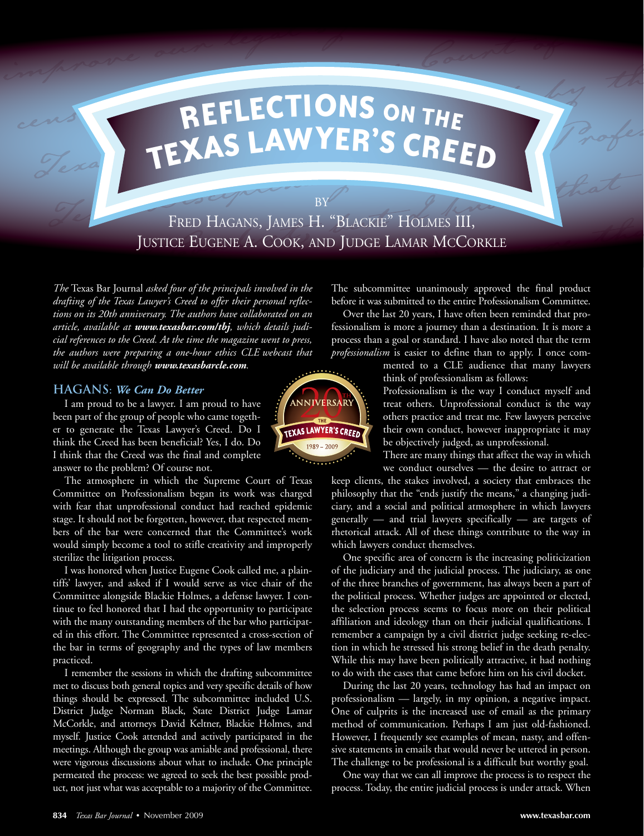# **<sup>R</sup>EFLECTI ONS ON THE TEXAS LAW YER'<sup>S</sup> CREED**

FRED HAGANS, JAMES H. "BLACKIE" HOLMES III, JUSTICE EUGENE A. COOK, AND JUDGE LAMAR MCCORKLE

**BY** 

*The* Texas Bar Journal *asked four of the principals involved in the drafting of the Texas Lawyer's Creed to offer their personal reflections on its 20th anniversary. The authors have collaborated on an article, available at www.texasbar.com/tbj, which details judicial references to the Creed. At the time the magazine went to press, the authors were preparing a one-hour ethics CLE webcast that will be available through www.texasbarcle.com.* 

been part of the group of people who came togeth-  $\frac{1}{2}$ er to generate the Texas Lawyer's Creed. Do I TEXASLAWYER'S CREED their own conduct, however inappropriate it may think the Creed has been beneficial? Yes, I do. Do be objectively judged, as unprofessional. I think that the Creed was the final and complete There There are many things that affect the way in which answer to the problem? Of course not.

The atmosphere in which the Supreme Court of Texas Committee on Professionalism began its work was charged with fear that unprofessional conduct had reached epidemic stage. It should not be forgotten, however, that respected members of the bar were concerned that the Committee's work would simply become a tool to stifle creativity and improperly sterilize the litigation process.

I was honored when Justice Eugene Cook called me, a plaintiffs' lawyer, and asked if I would serve as vice chair of the Committee alongside Blackie Holmes, a defense lawyer. I continue to feel honored that I had the opportunity to participate with the many outstanding members of the bar who participated in this effort. The Committee represented a cross-section of the bar in terms of geography and the types of law members practiced.

I remember the sessions in which the drafting subcommittee met to discuss both general topics and very specific details of how things should be expressed. The subcommittee included U.S. District Judge Norman Black, State District Judge Lamar McCorkle, and attorneys David Keltner, Blackie Holmes, and myself. Justice Cook attended and actively participated in the meetings. Although the group was amiable and professional, there were vigorous discussions about what to include. One principle permeated the process: we agreed to seek the best possible product, not just what was acceptable to a majority of the Committee.



The subcommittee unanimously approved the final product before it was submitted to the entire Professionalism Committee.

Over the last 20 years, I have often been reminded that professionalism is more a journey than a destination. It is more a process than a goal or standard. I have also noted that the term *professionalism* is easier to define than to apply. I once com-

think of professionalism as follows: mented to a CLE audience that many lawyers

**HAGANS:** We Can Do Better **Professionalism** is the way I conduct myself and I am proud to be a lawyer. I am proud to have **Professional** creat others. Unprofessional conduct is the way I am proud to be a lawyer. I am proud to have  $\frac{1}{2}$  (ANNIVERSARY) terreat others. Unprofessional conduct is the way

we conduct ourselves — the desire to attract or

keep clients, the stakes involved, a society that embraces the philosophy that the "ends justify the means," a changing judiciary, and a social and political atmosphere in which lawyers generally — and trial lawyers specifically — are targets of rhetorical attack. All of these things contribute to the way in which lawyers conduct themselves.

One specific area of concern is the increasing politicization of the judiciary and the judicial process. The judiciary, as one of the three branches of government, has always been a part of the political process. Whether judges are appointed or elected, the selection process seems to focus more on their political affiliation and ideology than on their judicial qualifications. I remember a campaign by a civil district judge seeking re-election in which he stressed his strong belief in the death penalty. While this may have been politically attractive, it had nothing to do with the cases that came before him on his civil docket.

During the last 20 years, technology has had an impact on professionalism — largely, in my opinion, a negative impact. One of culprits is the increased use of email as the primary method of communication. Perhaps I am just old-fashioned. However, I frequently see examples of mean, nasty, and offensive statements in emails that would never be uttered in person. The challenge to be professional is a difficult but worthy goal.

One way that we can all improve the process is to respect the process. Today, the entire judicial process is under attack. When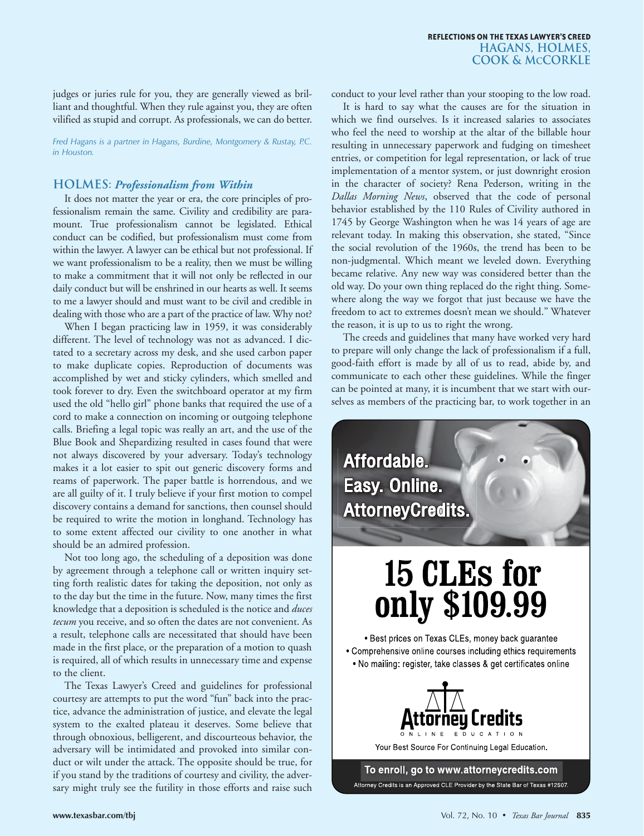judges or juries rule for you, they are generally viewed as brilliant and thoughtful. When they rule against you, they are often vilified as stupid and corrupt. As professionals, we can do better.

*Fred Hagans is a partner in Hagans, Burdine, Montgomery & Rustay, P.C. in Houston.* 

#### **Holmes:** *Professionalism from Within*

It does not matter the year or era, the core principles of professionalism remain the same. Civility and credibility are paramount. True professionalism cannot be legislated. Ethical conduct can be codified, but professionalism must come from within the lawyer. A lawyer can be ethical but not professional. If we want professionalism to be a reality, then we must be willing to make a commitment that it will not only be reflected in our daily conduct but will be enshrined in our hearts as well. It seems to me a lawyer should and must want to be civil and credible in dealing with those who are a part of the practice of law. Why not?

When I began practicing law in 1959, it was considerably different. The level of technology was not as advanced. I dictated to a secretary across my desk, and she used carbon paper to make duplicate copies. Reproduction of documents was accomplished by wet and sticky cylinders, which smelled and took forever to dry. Even the switchboard operator at my firm used the old "hello girl" phone banks that required the use of a cord to make a connection on incoming or outgoing telephone calls. Briefing a legal topic was really an art, and the use of the Blue Book and Shepardizing resulted in cases found that were not always discovered by your adversary. Today's technology makes it a lot easier to spit out generic discovery forms and reams of paperwork. The paper battle is horrendous, and we are all guilty of it. I truly believe if your first motion to compel discovery contains a demand for sanctions, then counsel should be required to write the motion in longhand. Technology has to some extent affected our civility to one another in what should be an admired profession.

Not too long ago, the scheduling of a deposition was done by agreement through a telephone call or written inquiry setting forth realistic dates for taking the deposition, not only as to the day but the time in the future. Now, many times the first knowledge that a deposition is scheduled is the notice and *duces tecum* you receive, and so often the dates are not convenient. As a result, telephone calls are necessitated that should have been made in the first place, or the preparation of a motion to quash is required, all of which results in unnecessary time and expense to the client.

The Texas Lawyer's Creed and guidelines for professional courtesy are attempts to put the word "fun" back into the practice, advance the administration of justice, and elevate the legal system to the exalted plateau it deserves. Some believe that through obnoxious, belligerent, and discourteous behavior, the adversary will be intimidated and provoked into similar conduct or wilt under the attack. The opposite should be true, for if you stand by the traditions of courtesy and civility, the adversary might truly see the futility in those efforts and raise such conduct to your level rather than your stooping to the low road.

It is hard to say what the causes are for the situation in which we find ourselves. Is it increased salaries to associates who feel the need to worship at the altar of the billable hour resulting in unnecessary paperwork and fudging on timesheet entries, or competition for legal representation, or lack of true implementation of a mentor system, or just downright erosion in the character of society? Rena Pederson, writing in the *Dallas Morning News*, observed that the code of personal behavior established by the 110 Rules of Civility authored in 1745 by George Washington when he was 14 years of age are relevant today. In making this observation, she stated, "Since the social revolution of the 1960s, the trend has been to be non-judgmental. Which meant we leveled down. Everything became relative. Any new way was considered better than the old way. Do your own thing replaced do the right thing. Somewhere along the way we forgot that just because we have the freedom to act to extremes doesn't mean we should." Whatever the reason, it is up to us to right the wrong.

The creeds and guidelines that many have worked very hard to prepare will only change the lack of professionalism if a full, good-faith effort is made by all of us to read, abide by, and communicate to each other these guidelines. While the finger can be pointed at many, it is incumbent that we start with ourselves as members of the practicing bar, to work together in an

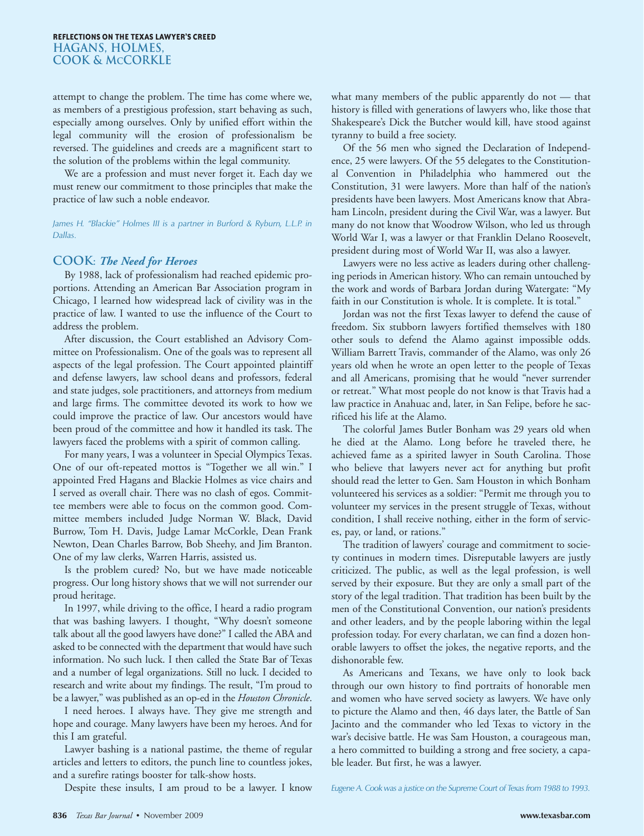attempt to change the problem. The time has come where we, as members of a prestigious profession, start behaving as such, especially among ourselves. Only by unified effort within the legal community will the erosion of professionalism be reversed. The guidelines and creeds are a magnificent start to the solution of the problems within the legal community.

We are a profession and must never forget it. Each day we must renew our commitment to those principles that make the practice of law such a noble endeavor.

James H. "Blackie" Holmes III is a partner in Burford & Ryburn, L.L.P. in *Dallas.* 

#### **Cook**: *The Need for Heroes*

By 1988, lack of professionalism had reached epidemic proportions. Attending an American Bar Association program in Chicago, I learned how widespread lack of civility was in the practice of law. I wanted to use the influence of the Court to address the problem.

After discussion, the Court established an Advisory Committee on Professionalism. One of the goals was to represent all aspects of the legal profession. The Court appointed plaintiff and defense lawyers, law school deans and professors, federal and state judges, sole practitioners, and attorneys from medium and large firms. The committee devoted its work to how we could improve the practice of law. Our ancestors would have been proud of the committee and how it handled its task. The lawyers faced the problems with a spirit of common calling.

For many years, I was a volunteer in Special Olympics Texas. One of our oft-repeated mottos is "Together we all win." I appointed Fred Hagans and Blackie Holmes as vice chairs and I served as overall chair. There was no clash of egos. Committee members were able to focus on the common good. Committee members included Judge Norman W. Black, David Burrow, Tom H. Davis, Judge Lamar McCorkle, Dean Frank Newton, Dean Charles Barrow, Bob Sheehy, and Jim Branton. One of my law clerks, Warren Harris, assisted us.

Is the problem cured? No, but we have made noticeable progress. Our long history shows that we will not surrender our proud heritage.

In 1997, while driving to the office, I heard a radio program that was bashing lawyers. I thought, "Why doesn't someone talk about all the good lawyers have done?" I called the ABA and asked to be connected with the department that would have such information. No such luck. I then called the State Bar of Texas and a number of legal organizations. Still no luck. I decided to research and write about my findings. The result, "I'm proud to be a lawyer," was published as an op-ed in the *Houston Chronicle*.

I need heroes. I always have. They give me strength and hope and courage. Many lawyers have been my heroes. And for this I am grateful.

Lawyer bashing is a national pastime, the theme of regular articles and letters to editors, the punch line to countless jokes, and a surefire ratings booster for talk-show hosts.

Despite these insults, I am proud to be a lawyer. I know

what many members of the public apparently do not — that history is filled with generations of lawyers who, like those that Shakespeare's Dick the Butcher would kill, have stood against tyranny to build a free society.

Of the 56 men who signed the Declaration of Independence, 25 were lawyers. Of the 55 delegates to the Constitutional Convention in Philadelphia who hammered out the Constitution, 31 were lawyers. More than half of the nation's presidents have been lawyers. Most Americans know that Abraham Lincoln, president during the Civil War, was a lawyer. But many do not know that Woodrow Wilson, who led us through World War I, was a lawyer or that Franklin Delano Roosevelt, president during most of World War II, was also a lawyer.

Lawyers were no less active as leaders during other challenging periods in American history. Who can remain untouched by the work and words of Barbara Jordan during Watergate: "My faith in our Constitution is whole. It is complete. It is total."

Jordan was not the first Texas lawyer to defend the cause of freedom. Six stubborn lawyers fortified themselves with 180 other souls to defend the Alamo against impossible odds. William Barrett Travis, commander of the Alamo, was only 26 years old when he wrote an open letter to the people of Texas and all Americans, promising that he would "never surrender or retreat." What most people do not know is that Travis had a law practice in Anahuac and, later, in San Felipe, before he sacrificed his life at the Alamo.

The colorful James Butler Bonham was 29 years old when he died at the Alamo. Long before he traveled there, he achieved fame as a spirited lawyer in South Carolina. Those who believe that lawyers never act for anything but profit should read the letter to Gen. Sam Houston in which Bonham volunteered his services as a soldier: "Permit me through you to volunteer my services in the present struggle of Texas, without condition, I shall receive nothing, either in the form of services, pay, or land, or rations."

The tradition of lawyers' courage and commitment to society continues in modern times. Disreputable lawyers are justly criticized. The public, as well as the legal profession, is well served by their exposure. But they are only a small part of the story of the legal tradition. That tradition has been built by the men of the Constitutional Convention, our nation's presidents and other leaders, and by the people laboring within the legal profession today. For every charlatan, we can find a dozen honorable lawyers to offset the jokes, the negative reports, and the dishonorable few.

As Americans and Texans, we have only to look back through our own history to find portraits of honorable men and women who have served society as lawyers. We have only to picture the Alamo and then, 46 days later, the Battle of San Jacinto and the commander who led Texas to victory in the war's decisive battle. He was Sam Houston, a courageous man, a hero committed to building a strong and free society, a capable leader. But first, he was a lawyer.

*Eugene A. Cook was a justice on the Supreme Court of Texas from 1988 to 1993.*